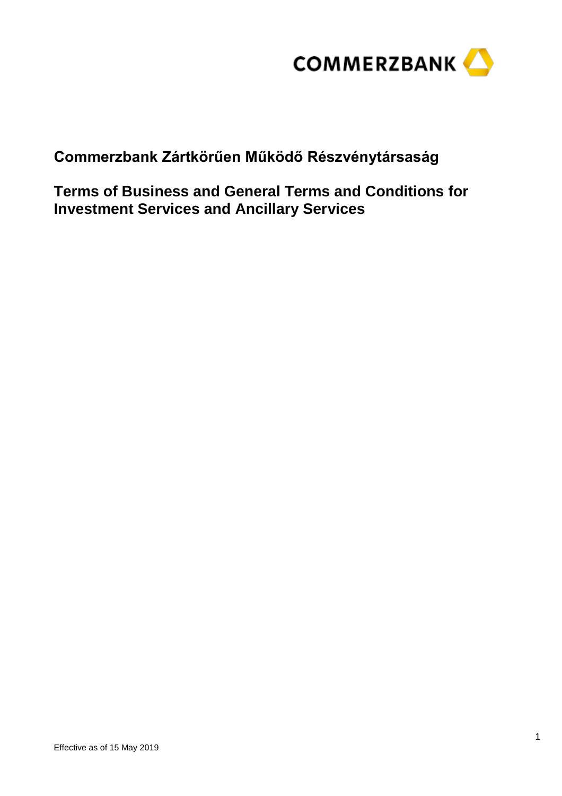

**Commerzbank Zártkörűen Működő Részvénytársaság**

**Terms of Business and General Terms and Conditions for Investment Services and Ancillary Services**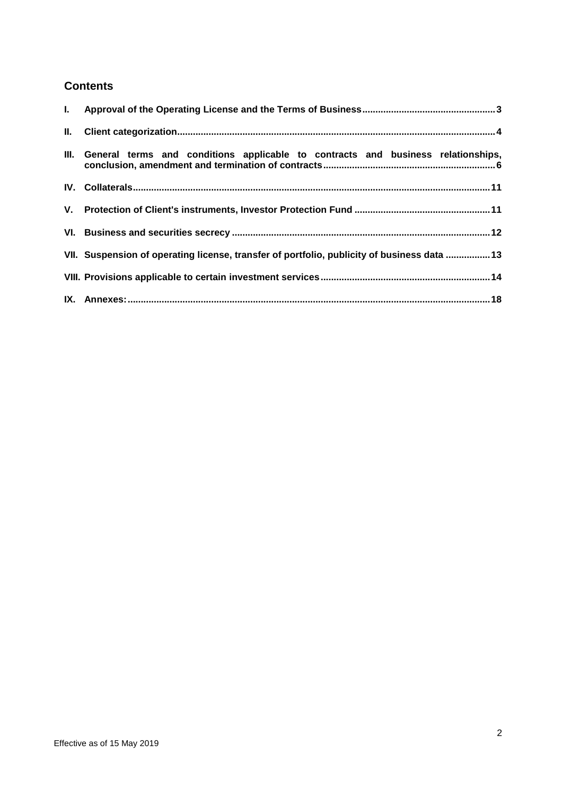# **Contents**

| III. General terms and conditions applicable to contracts and business relationships,       |
|---------------------------------------------------------------------------------------------|
|                                                                                             |
|                                                                                             |
|                                                                                             |
| VII. Suspension of operating license, transfer of portfolio, publicity of business data  13 |
|                                                                                             |
|                                                                                             |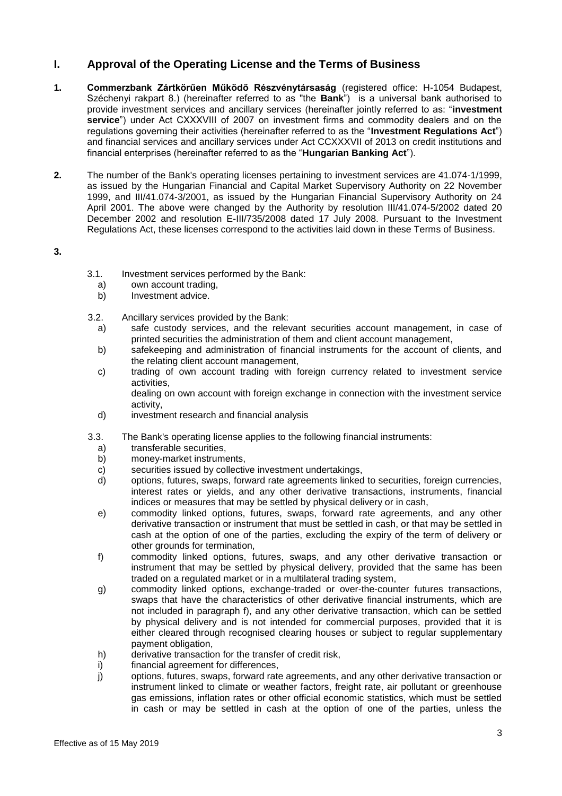# <span id="page-2-0"></span>**I. Approval of the Operating License and the Terms of Business**

- **1. Commerzbank Zártkörűen Működő Részvénytársaság** (registered office: H-1054 Budapest, Széchenyi rakpart 8.) (hereinafter referred to as "the **Bank**") is a universal bank authorised to provide investment services and ancillary services (hereinafter jointly referred to as: "**investment service**") under Act CXXXVIII of 2007 on investment firms and commodity dealers and on the regulations governing their activities (hereinafter referred to as the "**Investment Regulations Act**") and financial services and ancillary services under Act CCXXXVII of 2013 on credit institutions and financial enterprises (hereinafter referred to as the "**Hungarian Banking Act**").
- **2.** The number of the Bank's operating licenses pertaining to investment services are 41.074-1/1999, as issued by the Hungarian Financial and Capital Market Supervisory Authority on 22 November 1999, and III/41.074-3/2001, as issued by the Hungarian Financial Supervisory Authority on 24 April 2001. The above were changed by the Authority by resolution III/41.074-5/2002 dated 20 December 2002 and resolution E-III/735/2008 dated 17 July 2008. Pursuant to the Investment Regulations Act, these licenses correspond to the activities laid down in these Terms of Business.

**3.**

- 3.1. Investment services performed by the Bank:<br>a) own account trading,
	- own account trading,
	- b) Investment advice.
- 3.2. Ancillary services provided by the Bank:
	- a) safe custody services, and the relevant securities account management, in case of printed securities the administration of them and client account management,
	- b) safekeeping and administration of financial instruments for the account of clients, and the relating client account management,
	- c) trading of own account trading with foreign currency related to investment service activities,
		- dealing on own account with foreign exchange in connection with the investment service activity,
	- d) investment research and financial analysis
- 3.3. The Bank's operating license applies to the following financial instruments:
	- a) transferable securities,
	- b) money-market instruments,
	- c) securities issued by collective investment undertakings,<br>d) options, futures, swaps, forward rate agreements linked
	- d) options, futures, swaps, forward rate agreements linked to securities, foreign currencies, interest rates or yields, and any other derivative transactions, instruments, financial indices or measures that may be settled by physical delivery or in cash,
	- e) commodity linked options, futures, swaps, forward rate agreements, and any other derivative transaction or instrument that must be settled in cash, or that may be settled in cash at the option of one of the parties, excluding the expiry of the term of delivery or other grounds for termination,
	- f) commodity linked options, futures, swaps, and any other derivative transaction or instrument that may be settled by physical delivery, provided that the same has been traded on a regulated market or in a multilateral trading system,
	- g) commodity linked options, exchange-traded or over-the-counter futures transactions, swaps that have the characteristics of other derivative financial instruments, which are not included in paragraph f), and any other derivative transaction, which can be settled by physical delivery and is not intended for commercial purposes, provided that it is either cleared through recognised clearing houses or subject to regular supplementary payment obligation,
	- h) derivative transaction for the transfer of credit risk,
	- i) financial agreement for differences,
	- j) options, futures, swaps, forward rate agreements, and any other derivative transaction or instrument linked to climate or weather factors, freight rate, air pollutant or greenhouse gas emissions, inflation rates or other official economic statistics, which must be settled in cash or may be settled in cash at the option of one of the parties, unless the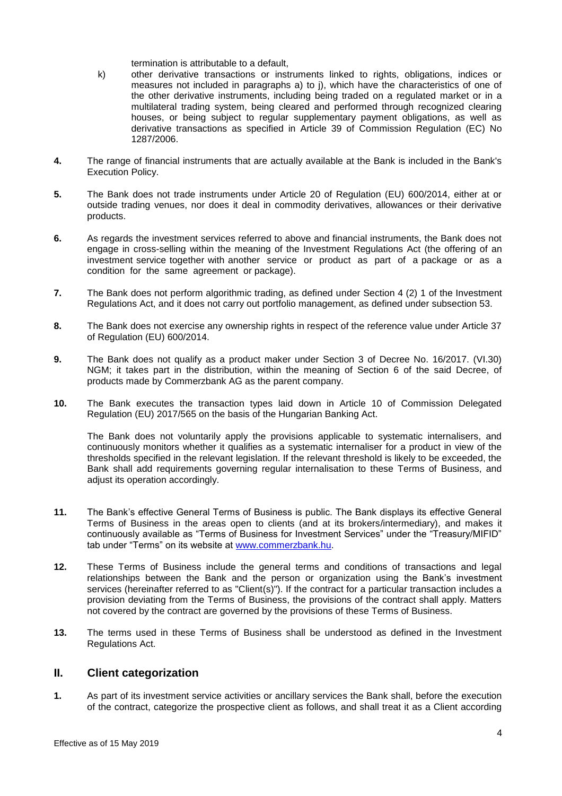termination is attributable to a default,

- k) other derivative transactions or instruments linked to rights, obligations, indices or measures not included in paragraphs a) to j), which have the characteristics of one of the other derivative instruments, including being traded on a regulated market or in a multilateral trading system, being cleared and performed through recognized clearing houses, or being subject to regular supplementary payment obligations, as well as derivative transactions as specified in Article 39 of Commission Regulation (EC) No 1287/2006.
- **4.** The range of financial instruments that are actually available at the Bank is included in the Bank's Execution Policy.
- **5.** The Bank does not trade instruments under Article 20 of Regulation (EU) 600/2014, either at or outside trading venues, nor does it deal in commodity derivatives, allowances or their derivative products.
- **6.** As regards the investment services referred to above and financial instruments, the Bank does not engage in cross-selling within the meaning of the Investment Regulations Act (the offering of an investment service together with another service or product as part of a package or as a condition for the same agreement or package).
- **7.** The Bank does not perform algorithmic trading, as defined under Section 4 (2) 1 of the Investment Regulations Act, and it does not carry out portfolio management, as defined under subsection 53.
- **8.** The Bank does not exercise any ownership rights in respect of the reference value under Article 37 of Regulation (EU) 600/2014.
- **9.** The Bank does not qualify as a product maker under Section 3 of Decree No. 16/2017. (VI.30) NGM; it takes part in the distribution, within the meaning of Section 6 of the said Decree, of products made by Commerzbank AG as the parent company.
- **10.** The Bank executes the transaction types laid down in Article 10 of Commission Delegated Regulation (EU) 2017/565 on the basis of the Hungarian Banking Act.

The Bank does not voluntarily apply the provisions applicable to systematic internalisers, and continuously monitors whether it qualifies as a systematic internaliser for a product in view of the thresholds specified in the relevant legislation. If the relevant threshold is likely to be exceeded, the Bank shall add requirements governing regular internalisation to these Terms of Business, and adjust its operation accordingly.

- **11.** The Bank's effective General Terms of Business is public. The Bank displays its effective General Terms of Business in the areas open to clients (and at its brokers/intermediary), and makes it continuously available as "Terms of Business for Investment Services" under the "Treasury/MIFID" tab under "Terms" on its website at [www.commerzbank.hu.](https://www.commerzbank.hu/portal/media/corporatebanking/auslandsseiten/ungarn-informationen/englisch-/impressum-2/agbs-ungarisch/Befektetesi_uzletszabalyzat_20180103.pdf)
- **12.** These Terms of Business include the general terms and conditions of transactions and legal relationships between the Bank and the person or organization using the Bank's investment services (hereinafter referred to as "Client(s)"). If the contract for a particular transaction includes a provision deviating from the Terms of Business, the provisions of the contract shall apply. Matters not covered by the contract are governed by the provisions of these Terms of Business.
- **13.** The terms used in these Terms of Business shall be understood as defined in the Investment Regulations Act.

# <span id="page-3-0"></span>**II. Client categorization**

**1.** As part of its investment service activities or ancillary services the Bank shall, before the execution of the contract, categorize the prospective client as follows, and shall treat it as a Client according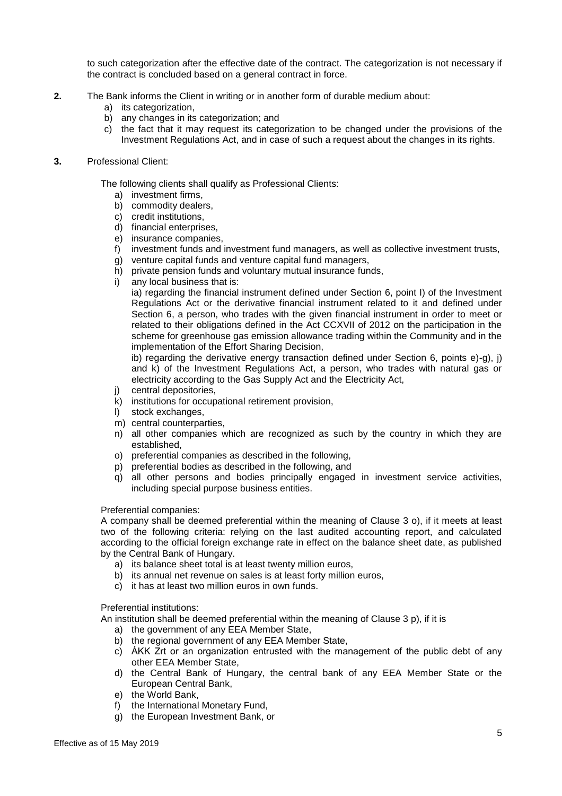to such categorization after the effective date of the contract. The categorization is not necessary if the contract is concluded based on a general contract in force.

- **2.** The Bank informs the Client in writing or in another form of durable medium about:
	- a) its categorization,
	- b) any changes in its categorization; and
	- c) the fact that it may request its categorization to be changed under the provisions of the Investment Regulations Act, and in case of such a request about the changes in its rights.
- **3.** Professional Client:

The following clients shall qualify as Professional Clients:

- a) investment firms,
- b) commodity dealers,
- c) credit institutions,
- d) financial enterprises,
- e) insurance companies,
- f) investment funds and investment fund managers, as well as collective investment trusts,
- g) venture capital funds and venture capital fund managers,
- h) private pension funds and voluntary mutual insurance funds,
- i) any local business that is:

ia) regarding the financial instrument defined under Section 6, point I) of the Investment Regulations Act or the derivative financial instrument related to it and defined under Section 6, a person, who trades with the given financial instrument in order to meet or related to their obligations defined in the Act CCXVII of 2012 on the participation in the scheme for greenhouse gas emission allowance trading within the Community and in the implementation of the Effort Sharing Decision,

ib) regarding the derivative energy transaction defined under Section 6, points e)-g), j) and k) of the Investment Regulations Act, a person, who trades with natural gas or electricity according to the Gas Supply Act and the Electricity Act,

- j) central depositories,
- k) institutions for occupational retirement provision,
- l) stock exchanges,
- m) central counterparties,
- n) all other companies which are recognized as such by the country in which they are established,
- o) preferential companies as described in the following,
- p) preferential bodies as described in the following, and
- q) all other persons and bodies principally engaged in investment service activities, including special purpose business entities.

## Preferential companies:

A company shall be deemed preferential within the meaning of Clause 3 o), if it meets at least two of the following criteria: relying on the last audited accounting report, and calculated according to the official foreign exchange rate in effect on the balance sheet date, as published by the Central Bank of Hungary.

- a) its balance sheet total is at least twenty million euros,
- b) its annual net revenue on sales is at least forty million euros,
- c) it has at least two million euros in own funds.

## Preferential institutions:

An institution shall be deemed preferential within the meaning of Clause 3 p), if it is

- a) the government of any EEA Member State,
- b) the regional government of any EEA Member State,
- c) ÁKK Zrt or an organization entrusted with the management of the public debt of any other EEA Member State,
- d) the Central Bank of Hungary, the central bank of any EEA Member State or the European Central Bank,
- e) the World Bank,
- f) the International Monetary Fund,
- g) the European Investment Bank, or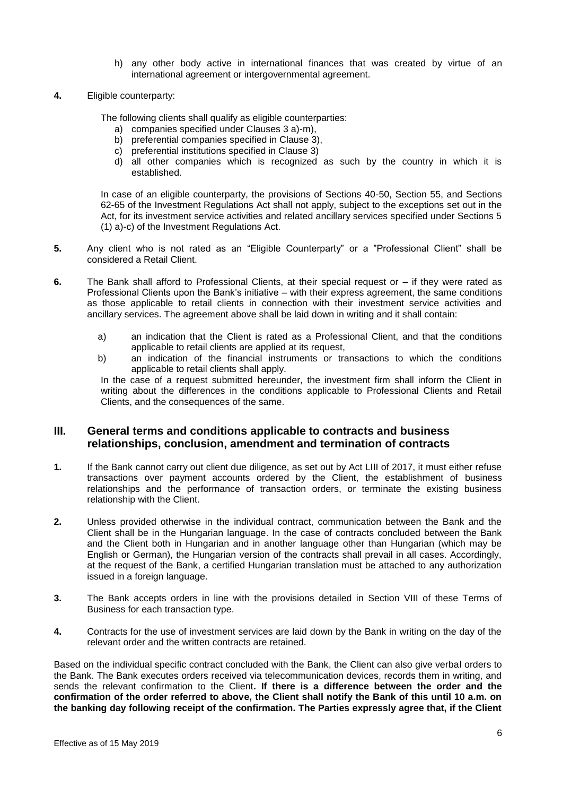- h) any other body active in international finances that was created by virtue of an international agreement or intergovernmental agreement.
- **4.** Eligible counterparty:

The following clients shall qualify as eligible counterparties:

- a) companies specified under Clauses 3 a)-m),
- b) preferential companies specified in Clause 3),
- c) preferential institutions specified in Clause 3)
- d) all other companies which is recognized as such by the country in which it is established.

In case of an eligible counterparty, the provisions of Sections 40-50, Section 55, and Sections 62-65 of the Investment Regulations Act shall not apply, subject to the exceptions set out in the Act, for its investment service activities and related ancillary services specified under Sections 5 (1) a)-c) of the Investment Regulations Act.

- **5.** Any client who is not rated as an "Eligible Counterparty" or a "Professional Client" shall be considered a Retail Client.
- **6.** The Bank shall afford to Professional Clients, at their special request or if they were rated as Professional Clients upon the Bank's initiative – with their express agreement, the same conditions as those applicable to retail clients in connection with their investment service activities and ancillary services. The agreement above shall be laid down in writing and it shall contain:
	- a) an indication that the Client is rated as a Professional Client, and that the conditions applicable to retail clients are applied at its request,
	- b) an indication of the financial instruments or transactions to which the conditions applicable to retail clients shall apply.

In the case of a request submitted hereunder, the investment firm shall inform the Client in writing about the differences in the conditions applicable to Professional Clients and Retail Clients, and the consequences of the same.

# <span id="page-5-0"></span>**III. General terms and conditions applicable to contracts and business relationships, conclusion, amendment and termination of contracts**

- **1.** If the Bank cannot carry out client due diligence, as set out by Act LIII of 2017, it must either refuse transactions over payment accounts ordered by the Client, the establishment of business relationships and the performance of transaction orders, or terminate the existing business relationship with the Client.
- **2.** Unless provided otherwise in the individual contract, communication between the Bank and the Client shall be in the Hungarian language. In the case of contracts concluded between the Bank and the Client both in Hungarian and in another language other than Hungarian (which may be English or German), the Hungarian version of the contracts shall prevail in all cases. Accordingly, at the request of the Bank, a certified Hungarian translation must be attached to any authorization issued in a foreign language.
- **3.** The Bank accepts orders in line with the provisions detailed in Section VIII of these Terms of Business for each transaction type.
- **4.** Contracts for the use of investment services are laid down by the Bank in writing on the day of the relevant order and the written contracts are retained.

Based on the individual specific contract concluded with the Bank, the Client can also give verbal orders to the Bank. The Bank executes orders received via telecommunication devices, records them in writing, and sends the relevant confirmation to the Client**. If there is a difference between the order and the confirmation of the order referred to above, the Client shall notify the Bank of this until 10 a.m. on the banking day following receipt of the confirmation. The Parties expressly agree that, if the Client**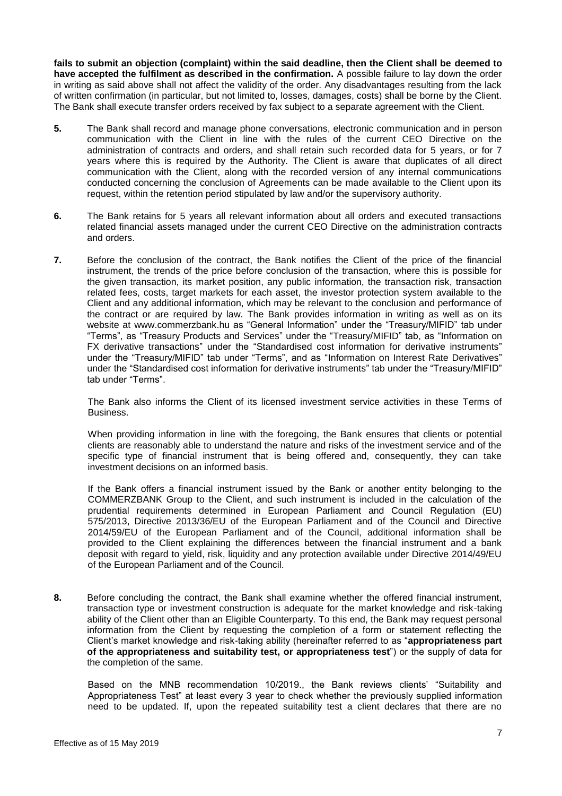**fails to submit an objection (complaint) within the said deadline, then the Client shall be deemed to have accepted the fulfilment as described in the confirmation.** A possible failure to lay down the order in writing as said above shall not affect the validity of the order. Any disadvantages resulting from the lack of written confirmation (in particular, but not limited to, losses, damages, costs) shall be borne by the Client. The Bank shall execute transfer orders received by fax subject to a separate agreement with the Client.

- **5.** The Bank shall record and manage phone conversations, electronic communication and in person communication with the Client in line with the rules of the current CEO Directive on the administration of contracts and orders, and shall retain such recorded data for 5 years, or for 7 years where this is required by the Authority. The Client is aware that duplicates of all direct communication with the Client, along with the recorded version of any internal communications conducted concerning the conclusion of Agreements can be made available to the Client upon its request, within the retention period stipulated by law and/or the supervisory authority.
- **6.** The Bank retains for 5 years all relevant information about all orders and executed transactions related financial assets managed under the current CEO Directive on the administration contracts and orders.
- **7.** Before the conclusion of the contract, the Bank notifies the Client of the price of the financial instrument, the trends of the price before conclusion of the transaction, where this is possible for the given transaction, its market position, any public information, the transaction risk, transaction related fees, costs, target markets for each asset, the investor protection system available to the Client and any additional information, which may be relevant to the conclusion and performance of the contract or are required by law. The Bank provides information in writing as well as on its website at [www.commerzbank.hu](http://www.commerzbank.hu/) as "General Information" under the "Treasury/MIFID" tab under "Terms", as "Treasury Products and Services" under the "Treasury/MIFID" tab, as "Information on FX derivative transactions" under the "Standardised cost information for derivative instruments" under the "Treasury/MIFID" tab under "Terms", and as "Information on Interest Rate Derivatives" under the "Standardised cost information for derivative instruments" tab under the "Treasury/MIFID" tab under "Terms".

The Bank also informs the Client of its licensed investment service activities in these Terms of Business.

When providing information in line with the foregoing, the Bank ensures that clients or potential clients are reasonably able to understand the nature and risks of the investment service and of the specific type of financial instrument that is being offered and, consequently, they can take investment decisions on an informed basis.

If the Bank offers a financial instrument issued by the Bank or another entity belonging to the COMMERZBANK Group to the Client, and such instrument is included in the calculation of the prudential requirements determined in European Parliament and Council Regulation (EU) 575/2013, Directive 2013/36/EU of the European Parliament and of the Council and Directive 2014/59/EU of the European Parliament and of the Council, additional information shall be provided to the Client explaining the differences between the financial instrument and a bank deposit with regard to yield, risk, liquidity and any protection available under Directive 2014/49/EU of the European Parliament and of the Council.

**8.** Before concluding the contract, the Bank shall examine whether the offered financial instrument, transaction type or investment construction is adequate for the market knowledge and risk-taking ability of the Client other than an Eligible Counterparty. To this end, the Bank may request personal information from the Client by requesting the completion of a form or statement reflecting the Client's market knowledge and risk-taking ability (hereinafter referred to as "**appropriateness part of the appropriateness and suitability test, or appropriateness test**") or the supply of data for the completion of the same.

Based on the MNB recommendation 10/2019., the Bank reviews clients' "Suitability and Appropriateness Test" at least every 3 year to check whether the previously supplied information need to be updated. If, upon the repeated suitability test a client declares that there are no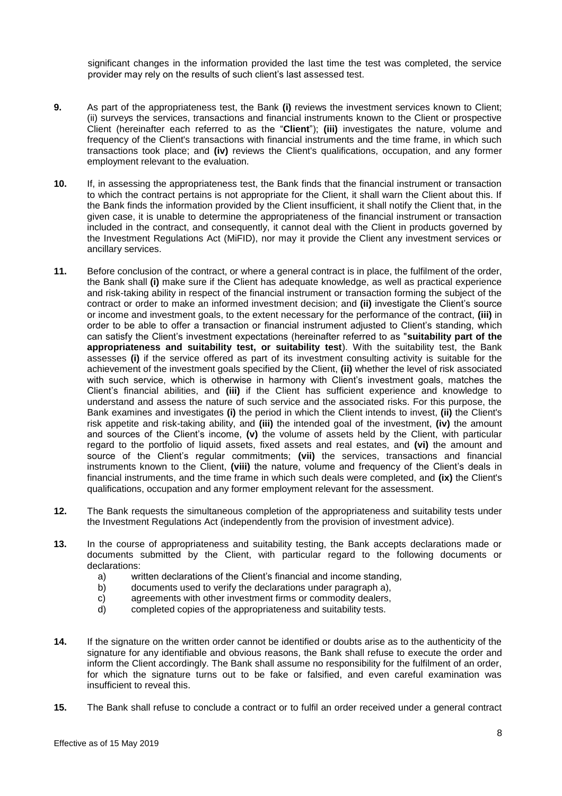significant changes in the information provided the last time the test was completed, the service provider may rely on the results of such client's last assessed test.

- **9.** As part of the appropriateness test, the Bank **(i)** reviews the investment services known to Client; (ii) surveys the services, transactions and financial instruments known to the Client or prospective Client (hereinafter each referred to as the "**Client**"); **(iii)** investigates the nature, volume and frequency of the Client's transactions with financial instruments and the time frame, in which such transactions took place; and **(iv)** reviews the Client's qualifications, occupation, and any former employment relevant to the evaluation.
- **10.** If, in assessing the appropriateness test, the Bank finds that the financial instrument or transaction to which the contract pertains is not appropriate for the Client, it shall warn the Client about this. If the Bank finds the information provided by the Client insufficient, it shall notify the Client that, in the given case, it is unable to determine the appropriateness of the financial instrument or transaction included in the contract, and consequently, it cannot deal with the Client in products governed by the Investment Regulations Act (MiFID), nor may it provide the Client any investment services or ancillary services.
- **11.** Before conclusion of the contract, or where a general contract is in place, the fulfilment of the order, the Bank shall **(i)** make sure if the Client has adequate knowledge, as well as practical experience and risk-taking ability in respect of the financial instrument or transaction forming the subject of the contract or order to make an informed investment decision; and **(ii)** investigate the Client's source or income and investment goals, to the extent necessary for the performance of the contract, **(iii)** in order to be able to offer a transaction or financial instrument adjusted to Client's standing, which can satisfy the Client's investment expectations (hereinafter referred to as "**suitability part of the appropriateness and suitability test, or suitability test**). With the suitability test, the Bank assesses **(i)** if the service offered as part of its investment consulting activity is suitable for the achievement of the investment goals specified by the Client, **(ii)** whether the level of risk associated with such service, which is otherwise in harmony with Client's investment goals, matches the Client's financial abilities, and **(iii)** if the Client has sufficient experience and knowledge to understand and assess the nature of such service and the associated risks. For this purpose, the Bank examines and investigates **(i)** the period in which the Client intends to invest, **(ii)** the Client's risk appetite and risk-taking ability, and **(iii)** the intended goal of the investment, **(iv)** the amount and sources of the Client's income, **(v)** the volume of assets held by the Client, with particular regard to the portfolio of liquid assets, fixed assets and real estates, and **(vi)** the amount and source of the Client's regular commitments; **(vii)** the services, transactions and financial instruments known to the Client, **(viii)** the nature, volume and frequency of the Client's deals in financial instruments, and the time frame in which such deals were completed, and **(ix)** the Client's qualifications, occupation and any former employment relevant for the assessment.
- **12.** The Bank requests the simultaneous completion of the appropriateness and suitability tests under the Investment Regulations Act (independently from the provision of investment advice).
- **13.** In the course of appropriateness and suitability testing, the Bank accepts declarations made or documents submitted by the Client, with particular regard to the following documents or declarations:
	- a) written declarations of the Client's financial and income standing,<br>b) documents used to verify the declarations under paragraph a),
	- documents used to verify the declarations under paragraph a),
	- c) agreements with other investment firms or commodity dealers,<br>d) completed copies of the appropriateness and suitability tests.
	- completed copies of the appropriateness and suitability tests.
- **14.** If the signature on the written order cannot be identified or doubts arise as to the authenticity of the signature for any identifiable and obvious reasons, the Bank shall refuse to execute the order and inform the Client accordingly. The Bank shall assume no responsibility for the fulfilment of an order, for which the signature turns out to be fake or falsified, and even careful examination was insufficient to reveal this.
- **15.** The Bank shall refuse to conclude a contract or to fulfil an order received under a general contract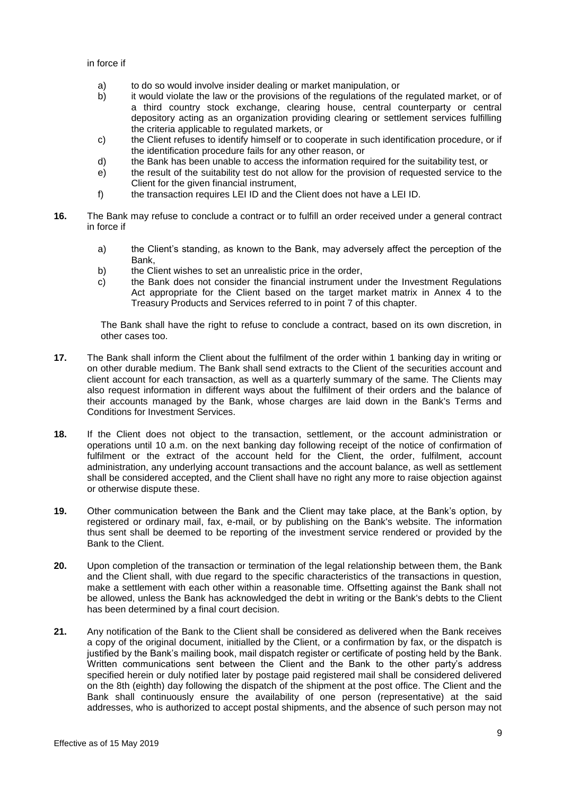in force if

- a) to do so would involve insider dealing or market manipulation, or
- b) it would violate the law or the provisions of the regulations of the regulated market, or of a third country stock exchange, clearing house, central counterparty or central depository acting as an organization providing clearing or settlement services fulfilling the criteria applicable to regulated markets, or
- c) the Client refuses to identify himself or to cooperate in such identification procedure, or if the identification procedure fails for any other reason, or
- d) the Bank has been unable to access the information required for the suitability test, or
- e) the result of the suitability test do not allow for the provision of requested service to the Client for the given financial instrument,
- f) the transaction requires LEI ID and the Client does not have a LEI ID.
- **16.** The Bank may refuse to conclude a contract or to fulfill an order received under a general contract in force if
	- a) the Client's standing, as known to the Bank, may adversely affect the perception of the Bank,
	- b) the Client wishes to set an unrealistic price in the order,
	- c) the Bank does not consider the financial instrument under the Investment Regulations Act appropriate for the Client based on the target market matrix in Annex 4 to the Treasury Products and Services referred to in point 7 of this chapter.

The Bank shall have the right to refuse to conclude a contract, based on its own discretion, in other cases too.

- **17.** The Bank shall inform the Client about the fulfilment of the order within 1 banking day in writing or on other durable medium. The Bank shall send extracts to the Client of the securities account and client account for each transaction, as well as a quarterly summary of the same. The Clients may also request information in different ways about the fulfilment of their orders and the balance of their accounts managed by the Bank, whose charges are laid down in the Bank's Terms and Conditions for Investment Services.
- **18.** If the Client does not object to the transaction, settlement, or the account administration or operations until 10 a.m. on the next banking day following receipt of the notice of confirmation of fulfilment or the extract of the account held for the Client, the order, fulfilment, account administration, any underlying account transactions and the account balance, as well as settlement shall be considered accepted, and the Client shall have no right any more to raise objection against or otherwise dispute these.
- **19.** Other communication between the Bank and the Client may take place, at the Bank's option, by registered or ordinary mail, fax, e-mail, or by publishing on the Bank's website. The information thus sent shall be deemed to be reporting of the investment service rendered or provided by the Bank to the Client.
- **20.** Upon completion of the transaction or termination of the legal relationship between them, the Bank and the Client shall, with due regard to the specific characteristics of the transactions in question, make a settlement with each other within a reasonable time. Offsetting against the Bank shall not be allowed, unless the Bank has acknowledged the debt in writing or the Bank's debts to the Client has been determined by a final court decision.
- **21.** Any notification of the Bank to the Client shall be considered as delivered when the Bank receives a copy of the original document, initialled by the Client, or a confirmation by fax, or the dispatch is justified by the Bank's mailing book, mail dispatch register or certificate of posting held by the Bank. Written communications sent between the Client and the Bank to the other party's address specified herein or duly notified later by postage paid registered mail shall be considered delivered on the 8th (eighth) day following the dispatch of the shipment at the post office. The Client and the Bank shall continuously ensure the availability of one person (representative) at the said addresses, who is authorized to accept postal shipments, and the absence of such person may not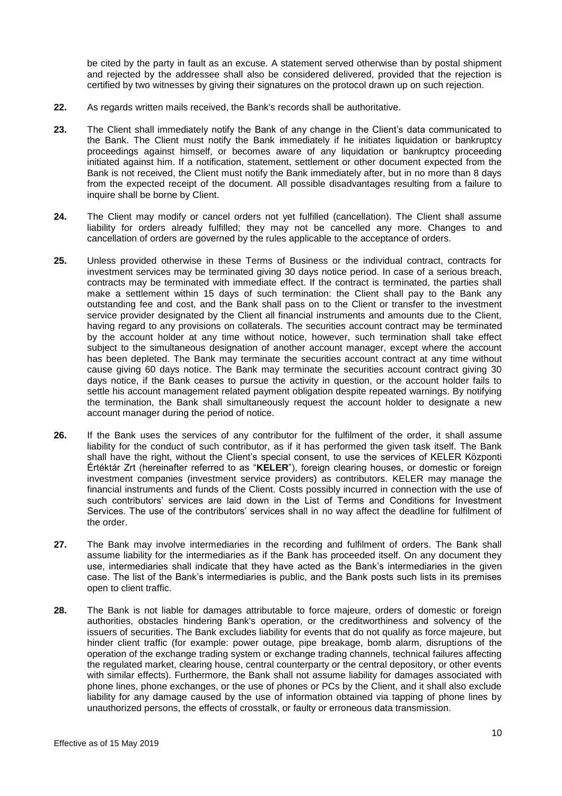be cited by the party in fault as an excuse. A statement served otherwise than by postal shipment and rejected by the addressee shall also be considered delivered, provided that the rejection is certified by two witnesses by giving their signatures on the protocol drawn up on such rejection.

- **22.** As regards written mails received, the Bank's records shall be authoritative.
- **23.** The Client shall immediately notify the Bank of any change in the Client's data communicated to the Bank. The Client must notify the Bank immediately if he initiates liquidation or bankruptcy proceedings against himself, or becomes aware of any liquidation or bankruptcy proceeding initiated against him. If a notification, statement, settlement or other document expected from the Bank is not received, the Client must notify the Bank immediately after, but in no more than 8 days from the expected receipt of the document. All possible disadvantages resulting from a failure to inquire shall be borne by Client.
- **24.** The Client may modify or cancel orders not yet fulfilled (cancellation). The Client shall assume liability for orders already fulfilled; they may not be cancelled any more. Changes to and cancellation of orders are governed by the rules applicable to the acceptance of orders.
- **25.** Unless provided otherwise in these Terms of Business or the individual contract, contracts for investment services may be terminated giving 30 days notice period. In case of a serious breach, contracts may be terminated with immediate effect. If the contract is terminated, the parties shall make a settlement within 15 days of such termination: the Client shall pay to the Bank any outstanding fee and cost, and the Bank shall pass on to the Client or transfer to the investment service provider designated by the Client all financial instruments and amounts due to the Client, having regard to any provisions on collaterals. The securities account contract may be terminated by the account holder at any time without notice, however, such termination shall take effect subject to the simultaneous designation of another account manager, except where the account has been depleted. The Bank may terminate the securities account contract at any time without cause giving 60 days notice. The Bank may terminate the securities account contract giving 30 days notice, if the Bank ceases to pursue the activity in question, or the account holder fails to settle his account management related payment obligation despite repeated warnings. By notifying the termination, the Bank shall simultaneously request the account holder to designate a new account manager during the period of notice.
- **26.** If the Bank uses the services of any contributor for the fulfilment of the order, it shall assume liability for the conduct of such contributor, as if it has performed the given task itself. The Bank shall have the right, without the Client's special consent, to use the services of KELER Központi Értéktár Zrt (hereinafter referred to as "**KELER**"), foreign clearing houses, or domestic or foreign investment companies (investment service providers) as contributors. KELER may manage the financial instruments and funds of the Client. Costs possibly incurred in connection with the use of such contributors' services are laid down in the List of Terms and Conditions for Investment Services. The use of the contributors' services shall in no way affect the deadline for fulfilment of the order.
- **27.** The Bank may involve intermediaries in the recording and fulfilment of orders. The Bank shall assume liability for the intermediaries as if the Bank has proceeded itself. On any document they use, intermediaries shall indicate that they have acted as the Bank's intermediaries in the given case. The list of the Bank's intermediaries is public, and the Bank posts such lists in its premises open to client traffic.
- **28.** The Bank is not liable for damages attributable to force majeure, orders of domestic or foreign authorities, obstacles hindering Bank's operation, or the creditworthiness and solvency of the issuers of securities. The Bank excludes liability for events that do not qualify as force majeure, but hinder client traffic (for example: power outage, pipe breakage, bomb alarm, disruptions of the operation of the exchange trading system or exchange trading channels, technical failures affecting the regulated market, clearing house, central counterparty or the central depository, or other events with similar effects). Furthermore, the Bank shall not assume liability for damages associated with phone lines, phone exchanges, or the use of phones or PCs by the Client, and it shall also exclude liability for any damage caused by the use of information obtained via tapping of phone lines by unauthorized persons, the effects of crosstalk, or faulty or erroneous data transmission.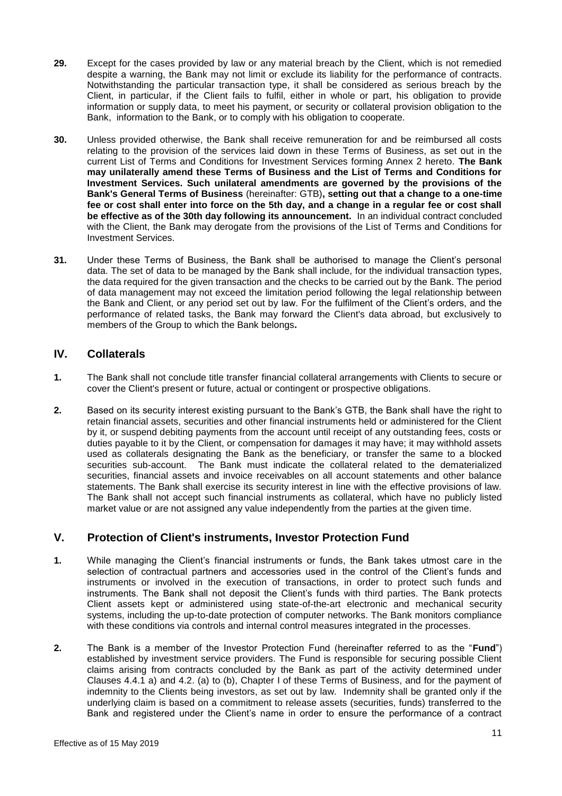- **29.** Except for the cases provided by law or any material breach by the Client, which is not remedied despite a warning, the Bank may not limit or exclude its liability for the performance of contracts. Notwithstanding the particular transaction type, it shall be considered as serious breach by the Client, in particular, if the Client fails to fulfil, either in whole or part, his obligation to provide information or supply data, to meet his payment, or security or collateral provision obligation to the Bank, information to the Bank, or to comply with his obligation to cooperate.
- **30.** Unless provided otherwise, the Bank shall receive remuneration for and be reimbursed all costs relating to the provision of the services laid down in these Terms of Business, as set out in the current List of Terms and Conditions for Investment Services forming Annex 2 hereto. **The Bank may unilaterally amend these Terms of Business and the List of Terms and Conditions for Investment Services. Such unilateral amendments are governed by the provisions of the Bank's General Terms of Business** (hereinafter: GTB)**, setting out that a change to a one-time fee or cost shall enter into force on the 5th day, and a change in a regular fee or cost shall be effective as of the 30th day following its announcement.** In an individual contract concluded with the Client, the Bank may derogate from the provisions of the List of Terms and Conditions for Investment Services.
- **31.** Under these Terms of Business, the Bank shall be authorised to manage the Client's personal data. The set of data to be managed by the Bank shall include, for the individual transaction types, the data required for the given transaction and the checks to be carried out by the Bank. The period of data management may not exceed the limitation period following the legal relationship between the Bank and Client, or any period set out by law. For the fulfilment of the Client's orders, and the performance of related tasks, the Bank may forward the Client's data abroad, but exclusively to members of the Group to which the Bank belongs**.**

# <span id="page-10-0"></span>**IV. Collaterals**

- **1.** The Bank shall not conclude title transfer financial collateral arrangements with Clients to secure or cover the Client's present or future, actual or contingent or prospective obligations.
- **2.** Based on its security interest existing pursuant to the Bank's GTB, the Bank shall have the right to retain financial assets, securities and other financial instruments held or administered for the Client by it, or suspend debiting payments from the account until receipt of any outstanding fees, costs or duties payable to it by the Client, or compensation for damages it may have; it may withhold assets used as collaterals designating the Bank as the beneficiary, or transfer the same to a blocked securities sub-account. The Bank must indicate the collateral related to the dematerialized securities, financial assets and invoice receivables on all account statements and other balance statements. The Bank shall exercise its security interest in line with the effective provisions of law. The Bank shall not accept such financial instruments as collateral, which have no publicly listed market value or are not assigned any value independently from the parties at the given time.

# <span id="page-10-1"></span>**V. Protection of Client's instruments, Investor Protection Fund**

- **1.** While managing the Client's financial instruments or funds, the Bank takes utmost care in the selection of contractual partners and accessories used in the control of the Client's funds and instruments or involved in the execution of transactions, in order to protect such funds and instruments. The Bank shall not deposit the Client's funds with third parties. The Bank protects Client assets kept or administered using state-of-the-art electronic and mechanical security systems, including the up-to-date protection of computer networks. The Bank monitors compliance with these conditions via controls and internal control measures integrated in the processes.
- **2.** The Bank is a member of the Investor Protection Fund (hereinafter referred to as the "**Fund**") established by investment service providers. The Fund is responsible for securing possible Client claims arising from contracts concluded by the Bank as part of the activity determined under Clauses 4.4.1 a) and 4.2. (a) to (b), Chapter I of these Terms of Business, and for the payment of indemnity to the Clients being investors, as set out by law. Indemnity shall be granted only if the underlying claim is based on a commitment to release assets (securities, funds) transferred to the Bank and registered under the Client's name in order to ensure the performance of a contract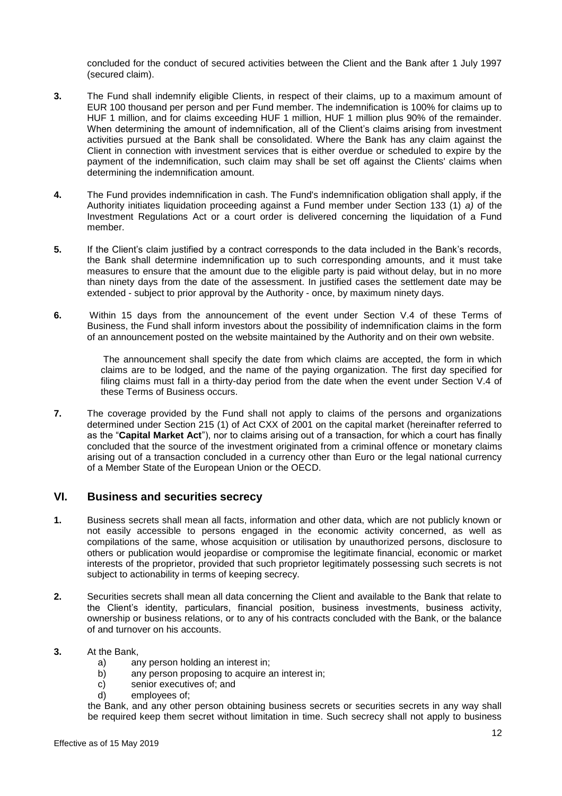concluded for the conduct of secured activities between the Client and the Bank after 1 July 1997 (secured claim).

- **3.** The Fund shall indemnify eligible Clients, in respect of their claims, up to a maximum amount of EUR 100 thousand per person and per Fund member. The indemnification is 100% for claims up to HUF 1 million, and for claims exceeding HUF 1 million, HUF 1 million plus 90% of the remainder. When determining the amount of indemnification, all of the Client's claims arising from investment activities pursued at the Bank shall be consolidated. Where the Bank has any claim against the Client in connection with investment services that is either overdue or scheduled to expire by the payment of the indemnification, such claim may shall be set off against the Clients' claims when determining the indemnification amount.
- **4.** The Fund provides indemnification in cash. The Fund's indemnification obligation shall apply, if the Authority initiates liquidation proceeding against a Fund member under Section 133 (1) *a)* of the Investment Regulations Act or a court order is delivered concerning the liquidation of a Fund member.
- **5.** If the Client's claim justified by a contract corresponds to the data included in the Bank's records, the Bank shall determine indemnification up to such corresponding amounts, and it must take measures to ensure that the amount due to the eligible party is paid without delay, but in no more than ninety days from the date of the assessment. In justified cases the settlement date may be extended - subject to prior approval by the Authority - once, by maximum ninety days.
- **6.** Within 15 days from the announcement of the event under Section V.4 of these Terms of Business, the Fund shall inform investors about the possibility of indemnification claims in the form of an announcement posted on the website maintained by the Authority and on their own website.

The announcement shall specify the date from which claims are accepted, the form in which claims are to be lodged, and the name of the paying organization. The first day specified for filing claims must fall in a thirty-day period from the date when the event under Section V.4 of these Terms of Business occurs.

**7.** The coverage provided by the Fund shall not apply to claims of the persons and organizations determined under Section 215 (1) of Act CXX of 2001 on the capital market (hereinafter referred to as the "**Capital Market Act**"), nor to claims arising out of a transaction, for which a court has finally concluded that the source of the investment originated from a criminal offence or monetary claims arising out of a transaction concluded in a currency other than Euro or the legal national currency of a Member State of the European Union or the OECD.

# <span id="page-11-0"></span>**VI. Business and securities secrecy**

- **1.** Business secrets shall mean all facts, information and other data, which are not publicly known or not easily accessible to persons engaged in the economic activity concerned, as well as compilations of the same, whose acquisition or utilisation by unauthorized persons, disclosure to others or publication would jeopardise or compromise the legitimate financial, economic or market interests of the proprietor, provided that such proprietor legitimately possessing such secrets is not subject to actionability in terms of keeping secrecy.
- **2.** Securities secrets shall mean all data concerning the Client and available to the Bank that relate to the Client's identity, particulars, financial position, business investments, business activity, ownership or business relations, or to any of his contracts concluded with the Bank, or the balance of and turnover on his accounts.

## **3.** At the Bank,

- a) any person holding an interest in;
- b) any person proposing to acquire an interest in;
- c) senior executives of; and
- d) employees of;

the Bank, and any other person obtaining business secrets or securities secrets in any way shall be required keep them secret without limitation in time. Such secrecy shall not apply to business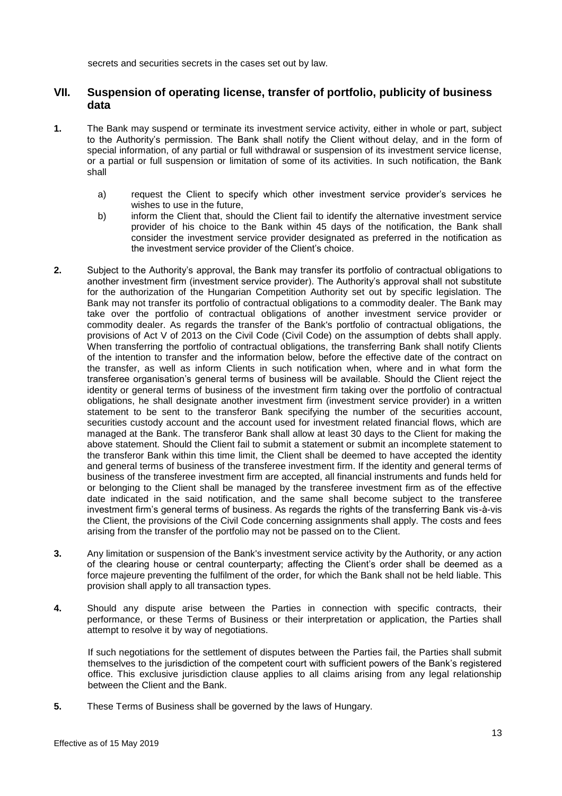secrets and securities secrets in the cases set out by law.

# <span id="page-12-0"></span>**VII. Suspension of operating license, transfer of portfolio, publicity of business data**

- **1.** The Bank may suspend or terminate its investment service activity, either in whole or part, subject to the Authority's permission. The Bank shall notify the Client without delay, and in the form of special information, of any partial or full withdrawal or suspension of its investment service license, or a partial or full suspension or limitation of some of its activities. In such notification, the Bank shall
	- a) request the Client to specify which other investment service provider's services he wishes to use in the future,
	- b) inform the Client that, should the Client fail to identify the alternative investment service provider of his choice to the Bank within 45 days of the notification, the Bank shall consider the investment service provider designated as preferred in the notification as the investment service provider of the Client's choice.
- **2.** Subject to the Authority's approval, the Bank may transfer its portfolio of contractual obligations to another investment firm (investment service provider). The Authority's approval shall not substitute for the authorization of the Hungarian Competition Authority set out by specific legislation. The Bank may not transfer its portfolio of contractual obligations to a commodity dealer. The Bank may take over the portfolio of contractual obligations of another investment service provider or commodity dealer. As regards the transfer of the Bank's portfolio of contractual obligations, the provisions of Act V of 2013 on the Civil Code (Civil Code) on the assumption of debts shall apply. When transferring the portfolio of contractual obligations, the transferring Bank shall notify Clients of the intention to transfer and the information below, before the effective date of the contract on the transfer, as well as inform Clients in such notification when, where and in what form the transferee organisation's general terms of business will be available. Should the Client reject the identity or general terms of business of the investment firm taking over the portfolio of contractual obligations, he shall designate another investment firm (investment service provider) in a written statement to be sent to the transferor Bank specifying the number of the securities account, securities custody account and the account used for investment related financial flows, which are managed at the Bank. The transferor Bank shall allow at least 30 days to the Client for making the above statement. Should the Client fail to submit a statement or submit an incomplete statement to the transferor Bank within this time limit, the Client shall be deemed to have accepted the identity and general terms of business of the transferee investment firm. If the identity and general terms of business of the transferee investment firm are accepted, all financial instruments and funds held for or belonging to the Client shall be managed by the transferee investment firm as of the effective date indicated in the said notification, and the same shall become subject to the transferee investment firm's general terms of business. As regards the rights of the transferring Bank vis-à-vis the Client, the provisions of the Civil Code concerning assignments shall apply. The costs and fees arising from the transfer of the portfolio may not be passed on to the Client.
- **3.** Any limitation or suspension of the Bank's investment service activity by the Authority, or any action of the clearing house or central counterparty; affecting the Client's order shall be deemed as a force majeure preventing the fulfilment of the order, for which the Bank shall not be held liable. This provision shall apply to all transaction types.
- **4.** Should any dispute arise between the Parties in connection with specific contracts, their performance, or these Terms of Business or their interpretation or application, the Parties shall attempt to resolve it by way of negotiations.

If such negotiations for the settlement of disputes between the Parties fail, the Parties shall submit themselves to the jurisdiction of the competent court with sufficient powers of the Bank's registered office. This exclusive jurisdiction clause applies to all claims arising from any legal relationship between the Client and the Bank.

**5.** These Terms of Business shall be governed by the laws of Hungary.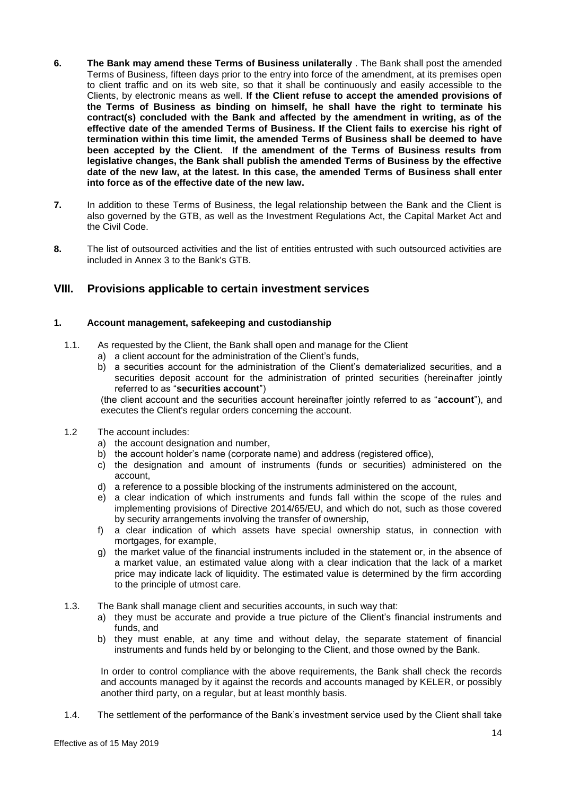- **6. The Bank may amend these Terms of Business unilaterally** . The Bank shall post the amended Terms of Business, fifteen days prior to the entry into force of the amendment, at its premises open to client traffic and on its web site, so that it shall be continuously and easily accessible to the Clients, by electronic means as well. **If the Client refuse to accept the amended provisions of the Terms of Business as binding on himself, he shall have the right to terminate his contract(s) concluded with the Bank and affected by the amendment in writing, as of the effective date of the amended Terms of Business. If the Client fails to exercise his right of termination within this time limit, the amended Terms of Business shall be deemed to have been accepted by the Client. If the amendment of the Terms of Business results from legislative changes, the Bank shall publish the amended Terms of Business by the effective date of the new law, at the latest. In this case, the amended Terms of Business shall enter into force as of the effective date of the new law.**
- **7.** In addition to these Terms of Business, the legal relationship between the Bank and the Client is also governed by the GTB, as well as the Investment Regulations Act, the Capital Market Act and the Civil Code.
- **8.** The list of outsourced activities and the list of entities entrusted with such outsourced activities are included in Annex 3 to the Bank's GTB.

# <span id="page-13-0"></span>**VIII. Provisions applicable to certain investment services**

## **1. Account management, safekeeping and custodianship**

- 1.1. As requested by the Client, the Bank shall open and manage for the Client
	- a) a client account for the administration of the Client's funds,
		- b) a securities account for the administration of the Client's dematerialized securities, and a securities deposit account for the administration of printed securities (hereinafter jointly referred to as "**securities account**")

(the client account and the securities account hereinafter jointly referred to as "**account**"), and executes the Client's regular orders concerning the account.

- 1.2 The account includes:
	- a) the account designation and number,
	- b) the account holder's name (corporate name) and address (registered office),
	- c) the designation and amount of instruments (funds or securities) administered on the account,
	- d) a reference to a possible blocking of the instruments administered on the account,
	- e) a clear indication of which instruments and funds fall within the scope of the rules and implementing provisions of Directive 2014/65/EU, and which do not, such as those covered by security arrangements involving the transfer of ownership,
	- f) a clear indication of which assets have special ownership status, in connection with mortgages, for example,
	- g) the market value of the financial instruments included in the statement or, in the absence of a market value, an estimated value along with a clear indication that the lack of a market price may indicate lack of liquidity. The estimated value is determined by the firm according to the principle of utmost care.
- 1.3. The Bank shall manage client and securities accounts, in such way that:
	- a) they must be accurate and provide a true picture of the Client's financial instruments and funds, and
	- b) they must enable, at any time and without delay, the separate statement of financial instruments and funds held by or belonging to the Client, and those owned by the Bank.

In order to control compliance with the above requirements, the Bank shall check the records and accounts managed by it against the records and accounts managed by KELER, or possibly another third party, on a regular, but at least monthly basis.

1.4. The settlement of the performance of the Bank's investment service used by the Client shall take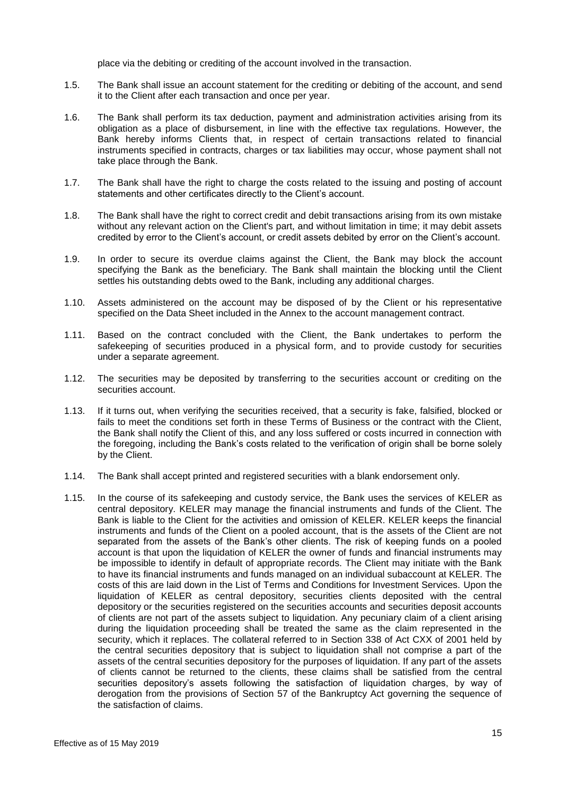place via the debiting or crediting of the account involved in the transaction.

- 1.5. The Bank shall issue an account statement for the crediting or debiting of the account, and send it to the Client after each transaction and once per year.
- 1.6. The Bank shall perform its tax deduction, payment and administration activities arising from its obligation as a place of disbursement, in line with the effective tax regulations. However, the Bank hereby informs Clients that, in respect of certain transactions related to financial instruments specified in contracts, charges or tax liabilities may occur, whose payment shall not take place through the Bank.
- 1.7. The Bank shall have the right to charge the costs related to the issuing and posting of account statements and other certificates directly to the Client's account.
- 1.8. The Bank shall have the right to correct credit and debit transactions arising from its own mistake without any relevant action on the Client's part, and without limitation in time; it may debit assets credited by error to the Client's account, or credit assets debited by error on the Client's account.
- 1.9. In order to secure its overdue claims against the Client, the Bank may block the account specifying the Bank as the beneficiary. The Bank shall maintain the blocking until the Client settles his outstanding debts owed to the Bank, including any additional charges.
- 1.10. Assets administered on the account may be disposed of by the Client or his representative specified on the Data Sheet included in the Annex to the account management contract.
- 1.11. Based on the contract concluded with the Client, the Bank undertakes to perform the safekeeping of securities produced in a physical form, and to provide custody for securities under a separate agreement.
- 1.12. The securities may be deposited by transferring to the securities account or crediting on the securities account.
- 1.13. If it turns out, when verifying the securities received, that a security is fake, falsified, blocked or fails to meet the conditions set forth in these Terms of Business or the contract with the Client, the Bank shall notify the Client of this, and any loss suffered or costs incurred in connection with the foregoing, including the Bank's costs related to the verification of origin shall be borne solely by the Client.
- 1.14. The Bank shall accept printed and registered securities with a blank endorsement only.
- 1.15. In the course of its safekeeping and custody service, the Bank uses the services of KELER as central depository. KELER may manage the financial instruments and funds of the Client. The Bank is liable to the Client for the activities and omission of KELER. KELER keeps the financial instruments and funds of the Client on a pooled account, that is the assets of the Client are not separated from the assets of the Bank's other clients. The risk of keeping funds on a pooled account is that upon the liquidation of KELER the owner of funds and financial instruments may be impossible to identify in default of appropriate records. The Client may initiate with the Bank to have its financial instruments and funds managed on an individual subaccount at KELER. The costs of this are laid down in the List of Terms and Conditions for Investment Services. Upon the liquidation of KELER as central depository, securities clients deposited with the central depository or the securities registered on the securities accounts and securities deposit accounts of clients are not part of the assets subject to liquidation. Any pecuniary claim of a client arising during the liquidation proceeding shall be treated the same as the claim represented in the security, which it replaces. The collateral referred to in Section 338 of Act CXX of 2001 held by the central securities depository that is subject to liquidation shall not comprise a part of the assets of the central securities depository for the purposes of liquidation. If any part of the assets of clients cannot be returned to the clients, these claims shall be satisfied from the central securities depository's assets following the satisfaction of liquidation charges, by way of derogation from the provisions of Section 57 of the Bankruptcy Act governing the sequence of the satisfaction of claims.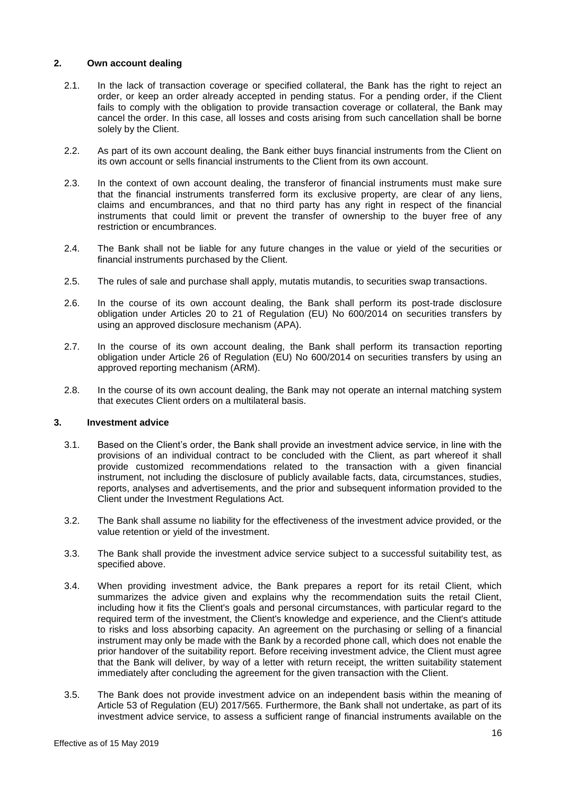## **2. Own account dealing**

- 2.1. In the lack of transaction coverage or specified collateral, the Bank has the right to reject an order, or keep an order already accepted in pending status. For a pending order, if the Client fails to comply with the obligation to provide transaction coverage or collateral, the Bank may cancel the order. In this case, all losses and costs arising from such cancellation shall be borne solely by the Client.
- 2.2. As part of its own account dealing, the Bank either buys financial instruments from the Client on its own account or sells financial instruments to the Client from its own account.
- 2.3. In the context of own account dealing, the transferor of financial instruments must make sure that the financial instruments transferred form its exclusive property, are clear of any liens, claims and encumbrances, and that no third party has any right in respect of the financial instruments that could limit or prevent the transfer of ownership to the buyer free of any restriction or encumbrances.
- 2.4. The Bank shall not be liable for any future changes in the value or yield of the securities or financial instruments purchased by the Client.
- 2.5. The rules of sale and purchase shall apply, mutatis mutandis, to securities swap transactions.
- 2.6. In the course of its own account dealing, the Bank shall perform its post-trade disclosure obligation under Articles 20 to 21 of Regulation (EU) No 600/2014 on securities transfers by using an approved disclosure mechanism (APA).
- 2.7. In the course of its own account dealing, the Bank shall perform its transaction reporting obligation under Article 26 of Regulation (EU) No 600/2014 on securities transfers by using an approved reporting mechanism (ARM).
- 2.8. In the course of its own account dealing, the Bank may not operate an internal matching system that executes Client orders on a multilateral basis.

## **3. Investment advice**

- 3.1. Based on the Client's order, the Bank shall provide an investment advice service, in line with the provisions of an individual contract to be concluded with the Client, as part whereof it shall provide customized recommendations related to the transaction with a given financial instrument, not including the disclosure of publicly available facts, data, circumstances, studies, reports, analyses and advertisements, and the prior and subsequent information provided to the Client under the Investment Regulations Act.
- 3.2. The Bank shall assume no liability for the effectiveness of the investment advice provided, or the value retention or yield of the investment.
- 3.3. The Bank shall provide the investment advice service subject to a successful suitability test, as specified above.
- 3.4. When providing investment advice, the Bank prepares a report for its retail Client, which summarizes the advice given and explains why the recommendation suits the retail Client, including how it fits the Client's goals and personal circumstances, with particular regard to the required term of the investment, the Client's knowledge and experience, and the Client's attitude to risks and loss absorbing capacity. An agreement on the purchasing or selling of a financial instrument may only be made with the Bank by a recorded phone call, which does not enable the prior handover of the suitability report. Before receiving investment advice, the Client must agree that the Bank will deliver, by way of a letter with return receipt, the written suitability statement immediately after concluding the agreement for the given transaction with the Client.
- 3.5. The Bank does not provide investment advice on an independent basis within the meaning of Article 53 of Regulation (EU) 2017/565. Furthermore, the Bank shall not undertake, as part of its investment advice service, to assess a sufficient range of financial instruments available on the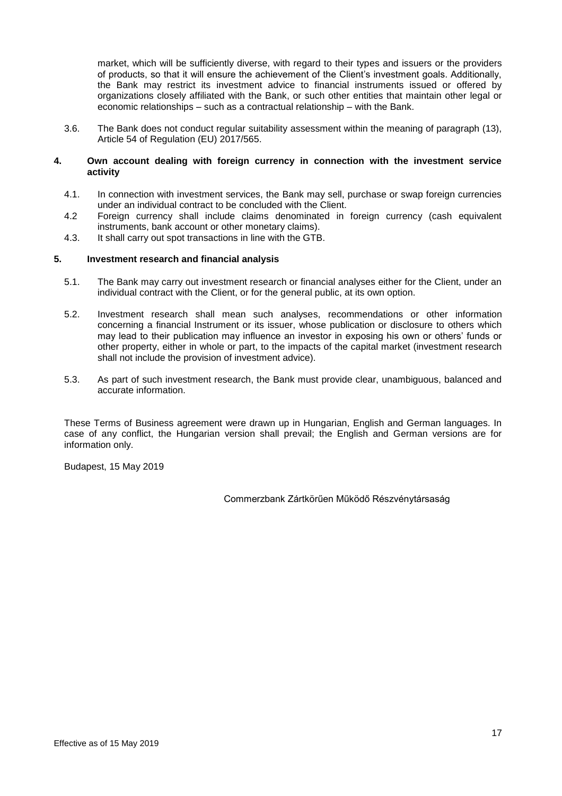market, which will be sufficiently diverse, with regard to their types and issuers or the providers of products, so that it will ensure the achievement of the Client's investment goals. Additionally, the Bank may restrict its investment advice to financial instruments issued or offered by organizations closely affiliated with the Bank, or such other entities that maintain other legal or economic relationships – such as a contractual relationship – with the Bank.

3.6. The Bank does not conduct regular suitability assessment within the meaning of paragraph (13), Article 54 of Regulation (EU) 2017/565.

## **4. Own account dealing with foreign currency in connection with the investment service activity**

- 4.1. In connection with investment services, the Bank may sell, purchase or swap foreign currencies under an individual contract to be concluded with the Client.
- 4.2 Foreign currency shall include claims denominated in foreign currency (cash equivalent instruments, bank account or other monetary claims).
- 4.3. It shall carry out spot transactions in line with the GTB.

## **5. Investment research and financial analysis**

- 5.1. The Bank may carry out investment research or financial analyses either for the Client, under an individual contract with the Client, or for the general public, at its own option.
- 5.2. Investment research shall mean such analyses, recommendations or other information concerning a financial Instrument or its issuer, whose publication or disclosure to others which may lead to their publication may influence an investor in exposing his own or others' funds or other property, either in whole or part, to the impacts of the capital market (investment research shall not include the provision of investment advice).
- 5.3. As part of such investment research, the Bank must provide clear, unambiguous, balanced and accurate information.

These Terms of Business agreement were drawn up in Hungarian, English and German languages. In case of any conflict, the Hungarian version shall prevail; the English and German versions are for information only.

Budapest, 15 May 2019

Commerzbank Zártkörűen Működő Részvénytársaság